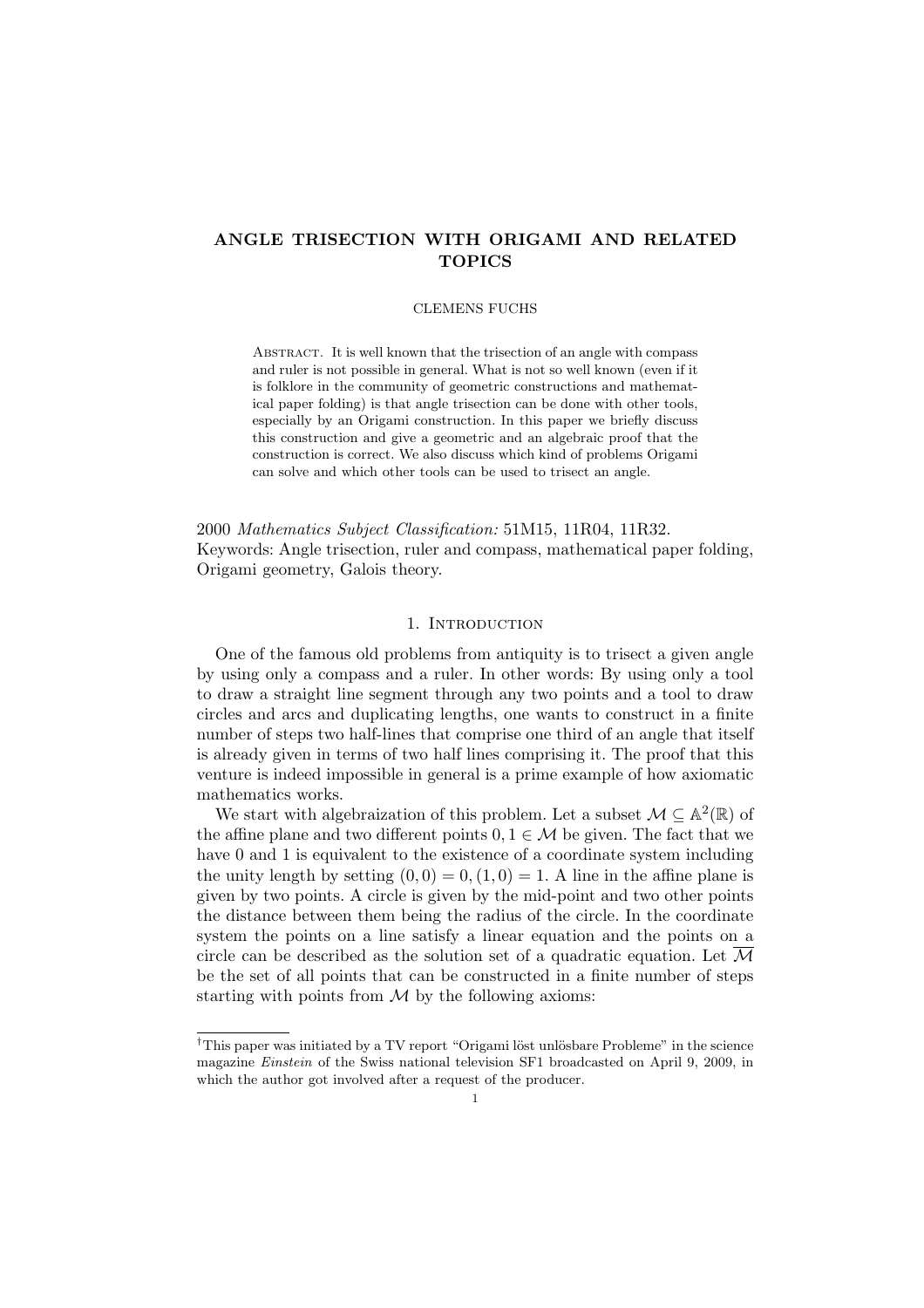# ANGLE TRISECTION WITH ORIGAMI AND RELATED **TOPICS**

#### CLEMENS FUCHS

ABSTRACT. It is well known that the trisection of an angle with compass and ruler is not possible in general. What is not so well known (even if it is folklore in the community of geometric constructions and mathematical paper folding) is that angle trisection can be done with other tools, especially by an Origami construction. In this paper we briefly discuss this construction and give a geometric and an algebraic proof that the construction is correct. We also discuss which kind of problems Origami can solve and which other tools can be used to trisect an angle.

2000 Mathematics Subject Classification: 51M15, 11R04, 11R32. Keywords: Angle trisection, ruler and compass, mathematical paper folding, Origami geometry, Galois theory.

### 1. INTRODUCTION

One of the famous old problems from antiquity is to trisect a given angle by using only a compass and a ruler. In other words: By using only a tool to draw a straight line segment through any two points and a tool to draw circles and arcs and duplicating lengths, one wants to construct in a finite number of steps two half-lines that comprise one third of an angle that itself is already given in terms of two half lines comprising it. The proof that this venture is indeed impossible in general is a prime example of how axiomatic mathematics works.

We start with algebraization of this problem. Let a subset  $\mathcal{M} \subseteq \mathbb{A}^2(\mathbb{R})$  of the affine plane and two different points  $0, 1 \in \mathcal{M}$  be given. The fact that we have 0 and 1 is equivalent to the existence of a coordinate system including the unity length by setting  $(0,0) = 0$ ,  $(1,0) = 1$ . A line in the affine plane is given by two points. A circle is given by the mid-point and two other points the distance between them being the radius of the circle. In the coordinate system the points on a line satisfy a linear equation and the points on a circle can be described as the solution set of a quadratic equation. Let  $\overline{\mathcal{M}}$ be the set of all points that can be constructed in a finite number of steps starting with points from  $M$  by the following axioms:

<sup>&</sup>lt;sup>†</sup>This paper was initiated by a TV report "Origami löst unlösbare Probleme" in the science magazine *Einstein* of the Swiss national television SF1 broadcasted on April 9, 2009, in which the author got involved after a request of the producer.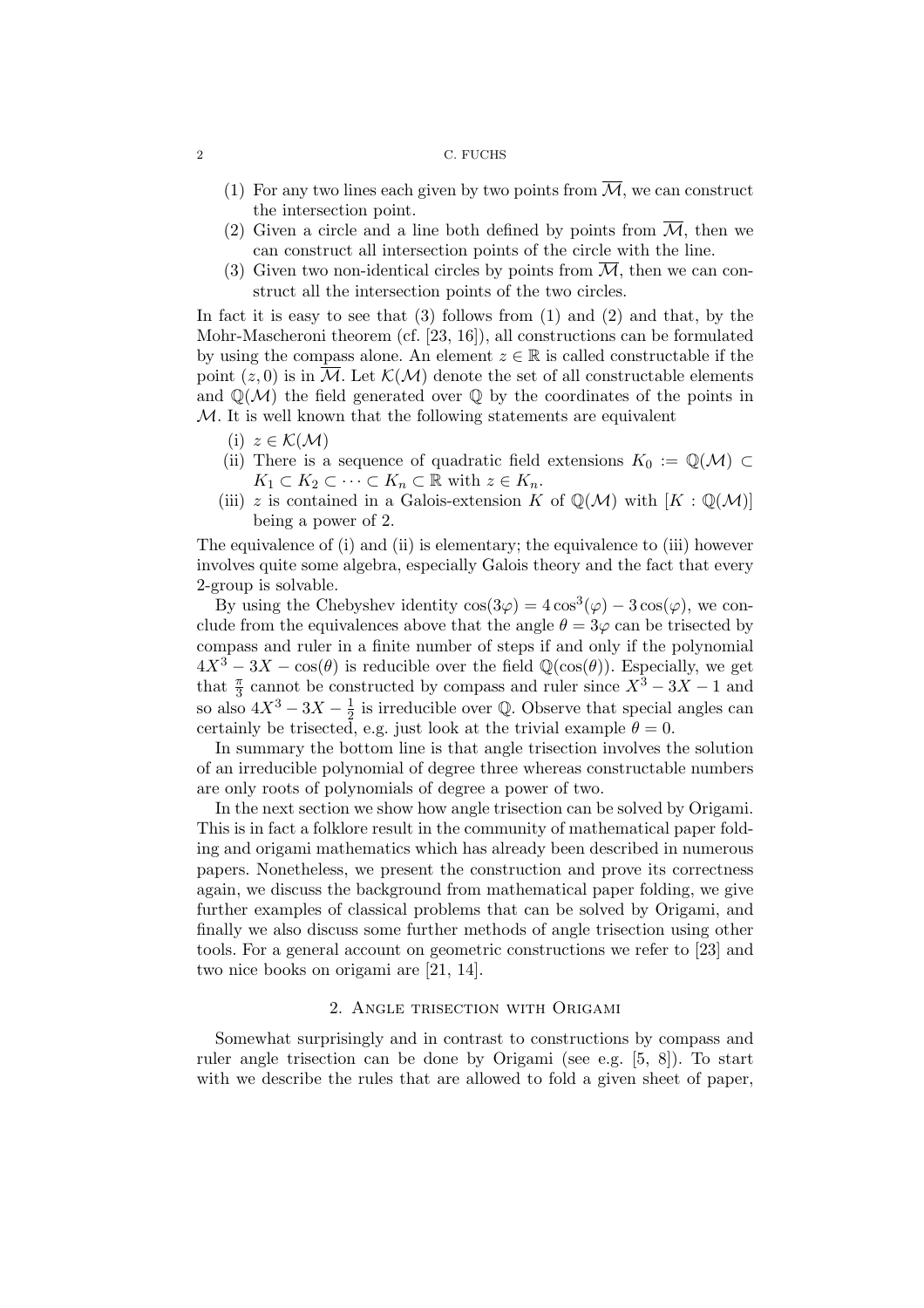- (1) For any two lines each given by two points from  $\overline{\mathcal{M}}$ , we can construct the intersection point.
- (2) Given a circle and a line both defined by points from  $\overline{\mathcal{M}}$ , then we can construct all intersection points of the circle with the line.
- (3) Given two non-identical circles by points from  $\overline{\mathcal{M}}$ , then we can construct all the intersection points of the two circles.

In fact it is easy to see that  $(3)$  follows from  $(1)$  and  $(2)$  and that, by the Mohr-Mascheroni theorem (cf. [23, 16]), all constructions can be formulated by using the compass alone. An element  $z \in \mathbb{R}$  is called constructable if the point  $(z, 0)$  is in M. Let  $\mathcal{K}(\mathcal{M})$  denote the set of all constructable elements and  $\mathbb{Q}(\mathcal{M})$  the field generated over  $\mathbb{Q}$  by the coordinates of the points in  $M$ . It is well known that the following statements are equivalent

- (i)  $z \in \mathcal{K}(\mathcal{M})$
- (ii) There is a sequence of quadratic field extensions  $K_0 := \mathbb{Q}(\mathcal{M}) \subset$  $K_1 \subset K_2 \subset \cdots \subset K_n \subset \mathbb{R}$  with  $z \in K_n$ .
- (iii) z is contained in a Galois-extension K of  $\mathbb{Q}(\mathcal{M})$  with  $[K: \mathbb{Q}(\mathcal{M})]$ being a power of 2.

The equivalence of (i) and (ii) is elementary; the equivalence to (iii) however involves quite some algebra, especially Galois theory and the fact that every 2-group is solvable.

By using the Chebyshev identity  $cos(3\varphi) = 4 cos^3(\varphi) - 3 cos(\varphi)$ , we conclude from the equivalences above that the angle  $\theta = 3\varphi$  can be trisected by compass and ruler in a finite number of steps if and only if the polynomial  $4X^3 - 3X - \cos(\theta)$  is reducible over the field  $\mathbb{Q}(\cos(\theta))$ . Especially, we get that  $\frac{\pi}{3}$  cannot be constructed by compass and ruler since  $X^3 - 3X - 1$  and so also  $4X^3 - 3X - \frac{1}{2}$  $\frac{1}{2}$  is irreducible over Q. Observe that special angles can certainly be trisected, e.g. just look at the trivial example  $\theta = 0$ .

In summary the bottom line is that angle trisection involves the solution of an irreducible polynomial of degree three whereas constructable numbers are only roots of polynomials of degree a power of two.

In the next section we show how angle trisection can be solved by Origami. This is in fact a folklore result in the community of mathematical paper folding and origami mathematics which has already been described in numerous papers. Nonetheless, we present the construction and prove its correctness again, we discuss the background from mathematical paper folding, we give further examples of classical problems that can be solved by Origami, and finally we also discuss some further methods of angle trisection using other tools. For a general account on geometric constructions we refer to [23] and two nice books on origami are [21, 14].

## 2. Angle trisection with Origami

Somewhat surprisingly and in contrast to constructions by compass and ruler angle trisection can be done by Origami (see e.g. [5, 8]). To start with we describe the rules that are allowed to fold a given sheet of paper,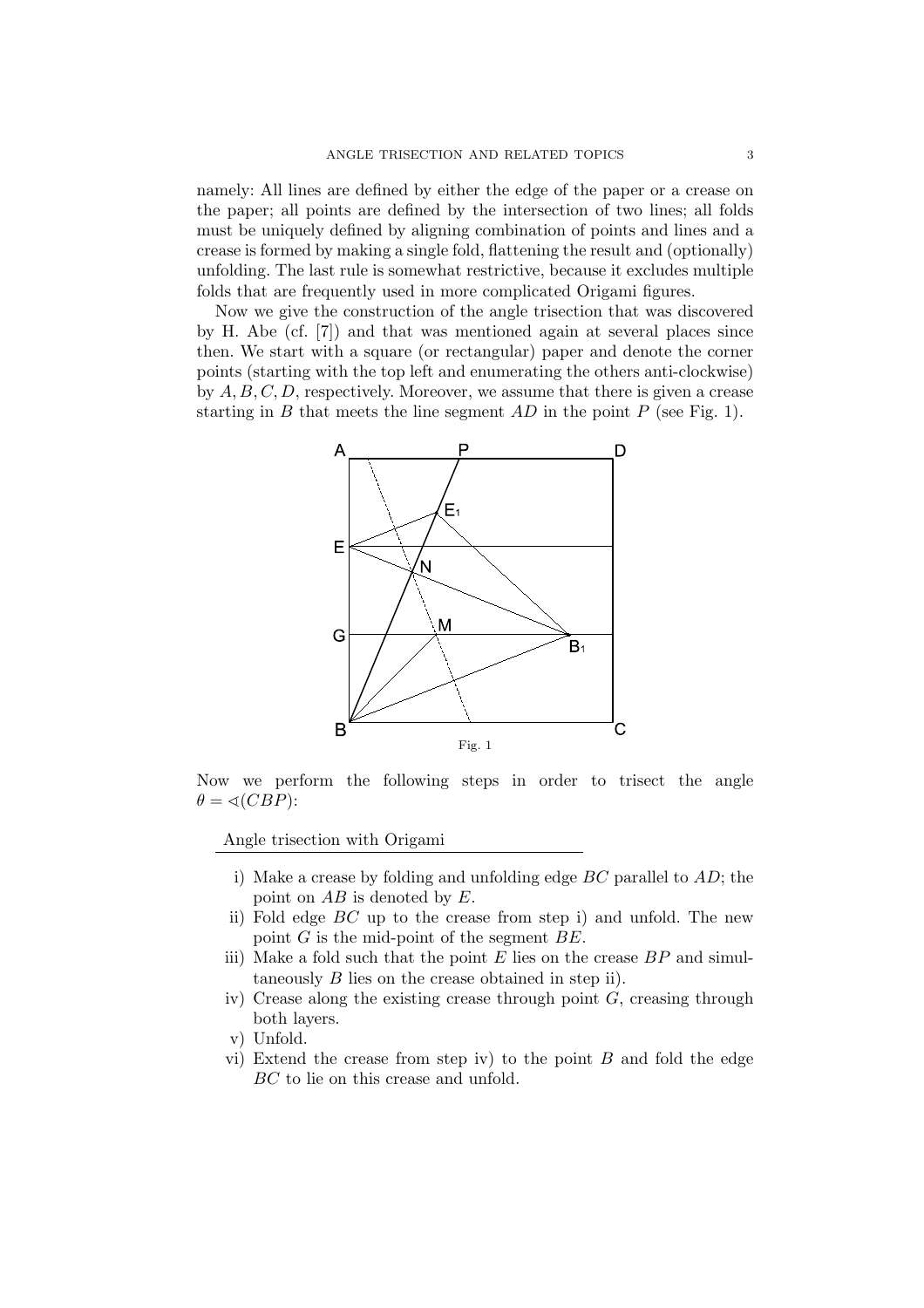namely: All lines are defined by either the edge of the paper or a crease on the paper; all points are defined by the intersection of two lines; all folds must be uniquely defined by aligning combination of points and lines and a crease is formed by making a single fold, flattening the result and (optionally) unfolding. The last rule is somewhat restrictive, because it excludes multiple folds that are frequently used in more complicated Origami figures.

Now we give the construction of the angle trisection that was discovered by H. Abe (cf. [7]) and that was mentioned again at several places since then. We start with a square (or rectangular) paper and denote the corner points (starting with the top left and enumerating the others anti-clockwise) by  $A, B, C, D$ , respectively. Moreover, we assume that there is given a crease starting in B that meets the line segment  $AD$  in the point P (see Fig. 1).



Now we perform the following steps in order to trisect the angle  $\theta = \triangleleft (CBP)$ :

Angle trisection with Origami

- i) Make a crease by folding and unfolding edge  $BC$  parallel to  $AD$ ; the point on  $AB$  is denoted by  $E$ .
- ii) Fold edge BC up to the crease from step i) and unfold. The new point  $G$  is the mid-point of the segment  $BE$ .
- iii) Make a fold such that the point  $E$  lies on the crease  $BP$  and simultaneously B lies on the crease obtained in step ii).
- iv) Crease along the existing crease through point  $G$ , creasing through both layers.
- v) Unfold.
- vi) Extend the crease from step iv) to the point  $B$  and fold the edge BC to lie on this crease and unfold.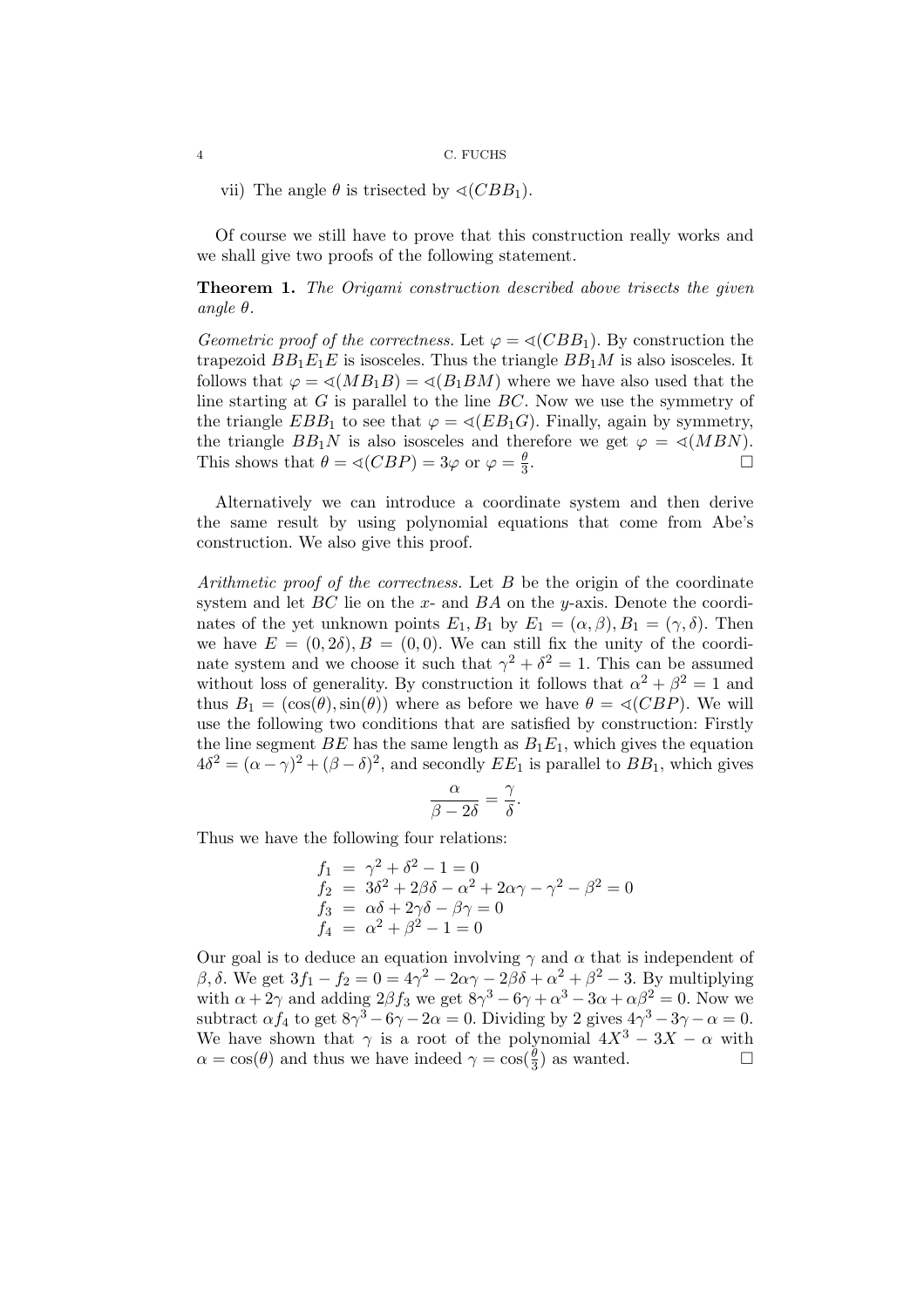vii) The angle  $\theta$  is trisected by  $\triangleleft (CBB_1)$ .

Of course we still have to prove that this construction really works and we shall give two proofs of the following statement.

Theorem 1. The Origami construction described above trisects the given angle θ.

Geometric proof of the correctness. Let  $\varphi = \varphi(CBB_1)$ . By construction the trapezoid  $BB_1E_1E$  is isosceles. Thus the triangle  $BB_1M$  is also isosceles. It follows that  $\varphi = \vartriangleleft (MB_1B) = \vartriangleleft (B_1BM)$  where we have also used that the line starting at G is parallel to the line  $BC$ . Now we use the symmetry of the triangle  $EBB_1$  to see that  $\varphi = \varphi(EB_1G)$ . Finally, again by symmetry, the triangle  $BB_1N$  is also isosceles and therefore we get  $\varphi = \vartriangleleft (MBN)$ . This shows that  $\theta = \sphericalangle (CBP) = 3\varphi$  or  $\varphi = \frac{\theta}{3}$ 3 . — Первый процесс в после просто просто просто просто просто просто просто просто просто просто просто просто<br>В 1990 году стала просто просто просто просто просто просто просто просто просто просто просто просто просто п

Alternatively we can introduce a coordinate system and then derive the same result by using polynomial equations that come from Abe's construction. We also give this proof.

Arithmetic proof of the correctness. Let B be the origin of the coordinate system and let  $BC$  lie on the x- and  $BA$  on the y-axis. Denote the coordinates of the yet unknown points  $E_1, B_1$  by  $E_1 = (\alpha, \beta), B_1 = (\gamma, \delta)$ . Then we have  $E = (0, 2\delta), B = (0, 0)$ . We can still fix the unity of the coordinate system and we choose it such that  $\gamma^2 + \delta^2 = 1$ . This can be assumed without loss of generality. By construction it follows that  $\alpha^2 + \beta^2 = 1$  and thus  $B_1 = (\cos(\theta), \sin(\theta))$  where as before we have  $\theta = \triangleleft(CBP)$ . We will use the following two conditions that are satisfied by construction: Firstly the line segment BE has the same length as  $B_1E_1$ , which gives the equation  $4\delta^2 = (\alpha - \gamma)^2 + (\beta - \delta)^2$ , and secondly  $EE_1$  is parallel to  $BB_1$ , which gives

$$
\frac{\alpha}{\beta - 2\delta} = \frac{\gamma}{\delta}.
$$

Thus we have the following four relations:

$$
f_1 = \gamma^2 + \delta^2 - 1 = 0
$$
  
\n
$$
f_2 = 3\delta^2 + 2\beta\delta - \alpha^2 + 2\alpha\gamma - \gamma^2 - \beta^2 = 0
$$
  
\n
$$
f_3 = \alpha\delta + 2\gamma\delta - \beta\gamma = 0
$$
  
\n
$$
f_4 = \alpha^2 + \beta^2 - 1 = 0
$$

Our goal is to deduce an equation involving  $\gamma$  and  $\alpha$  that is independent of β, δ. We get  $3f_1 - f_2 = 0 = 4\gamma^2 - 2\alpha\gamma - 2\beta\delta + \alpha^2 + \beta^2 - 3$ . By multiplying with  $\alpha + 2\gamma$  and adding  $2\beta f_3$  we get  $8\gamma^3 - 6\gamma + \alpha^3 - 3\alpha + \alpha\beta^2 = 0$ . Now we subtract  $\alpha f_4$  to get  $8\gamma^3 - 6\gamma - 2\alpha = 0$ . Dividing by 2 gives  $4\gamma^3 - 3\gamma - \alpha = 0$ . We have shown that  $\gamma$  is a root of the polynomial  $4X^3 - 3X - \alpha$  with  $\alpha = \cos(\theta)$  and thus we have indeed  $\gamma = \cos(\frac{\theta}{3})$  as wanted.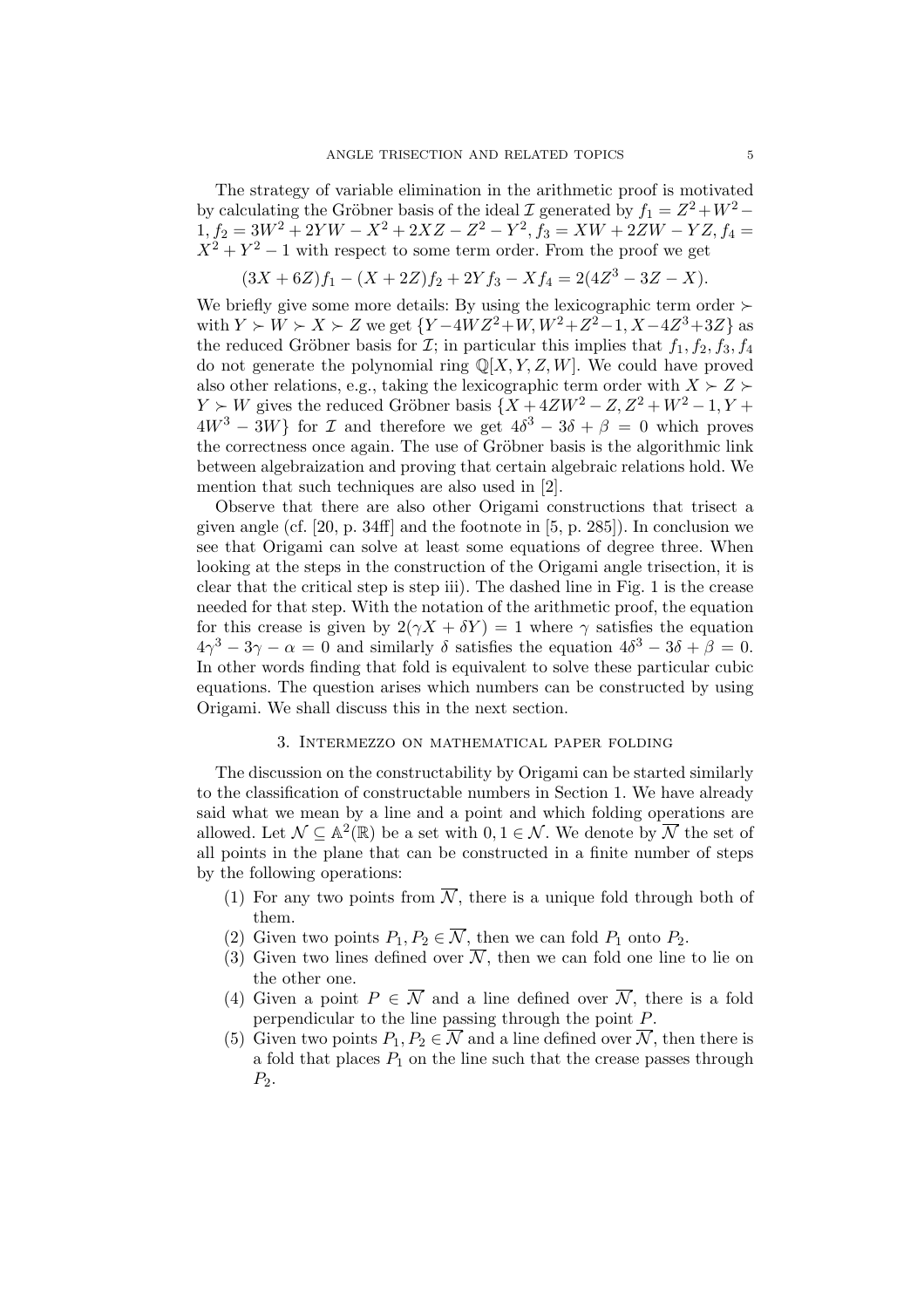The strategy of variable elimination in the arithmetic proof is motivated by calculating the Gröbner basis of the ideal  $\mathcal I$  generated by  $f_1 = Z^2 + W^2 1, f_2 = 3W^2 + 2YW - X^2 + 2XZ - Z^2 - Y^2, f_3 = XW + 2ZW - YZ, f_4 =$  $X^2 + Y^2 - 1$  with respect to some term order. From the proof we get

$$
(3X + 6Z)f1 - (X + 2Z)f2 + 2Yf3 - Xf4 = 2(4Z3 - 3Z - X).
$$

We briefly give some more details: By using the lexicographic term order  $\succ$ with  $Y \succ W \succ X \succ Z$  we get  $\{Y-4WZ^2+W,W^2+Z^2-1,X-4Z^3+3Z\}$  as the reduced Gröbner basis for  $\mathcal{I}$ ; in particular this implies that  $f_1, f_2, f_3, f_4$ do not generate the polynomial ring  $\mathbb{Q}[X, Y, Z, W]$ . We could have proved also other relations, e.g., taking the lexicographic term order with  $X \succ Z \succ$  $Y \succ W$  gives the reduced Gröbner basis  $\{X+4ZW^2-Z,Z^2+W^2-1,Y+Y\}$  $4W^3 - 3W$ } for  $\mathcal I$  and therefore we get  $4\delta^3 - 3\delta + \beta = 0$  which proves the correctness once again. The use of Gröbner basis is the algorithmic link between algebraization and proving that certain algebraic relations hold. We mention that such techniques are also used in [2].

Observe that there are also other Origami constructions that trisect a given angle (cf.  $[20, p. 34ff]$  and the footnote in  $[5, p. 285]$ ). In conclusion we see that Origami can solve at least some equations of degree three. When looking at the steps in the construction of the Origami angle trisection, it is clear that the critical step is step iii). The dashed line in Fig. 1 is the crease needed for that step. With the notation of the arithmetic proof, the equation for this crease is given by  $2(\gamma X + \delta Y) = 1$  where  $\gamma$  satisfies the equation  $4\gamma^3 - 3\gamma - \alpha = 0$  and similarly  $\delta$  satisfies the equation  $4\delta^3 - 3\delta + \beta = 0$ . In other words finding that fold is equivalent to solve these particular cubic equations. The question arises which numbers can be constructed by using Origami. We shall discuss this in the next section.

### 3. Intermezzo on mathematical paper folding

The discussion on the constructability by Origami can be started similarly to the classification of constructable numbers in Section 1. We have already said what we mean by a line and a point and which folding operations are allowed. Let  $\mathcal{N} \subseteq \mathbb{A}^2(\mathbb{R})$  be a set with  $0, 1 \in \mathcal{N}$ . We denote by  $\overline{\mathcal{N}}$  the set of all points in the plane that can be constructed in a finite number of steps by the following operations:

- (1) For any two points from  $\overline{\mathcal{N}}$ , there is a unique fold through both of them.
- (2) Given two points  $P_1, P_2 \in \overline{\mathcal{N}}$ , then we can fold  $P_1$  onto  $P_2$ .
- (3) Given two lines defined over  $\overline{\mathcal{N}}$ , then we can fold one line to lie on the other one.
- (4) Given a point  $P \in \overline{\mathcal{N}}$  and a line defined over  $\overline{\mathcal{N}}$ , there is a fold perpendicular to the line passing through the point P.
- (5) Given two points  $P_1, P_2 \in \overline{\mathcal{N}}$  and a line defined over  $\overline{\mathcal{N}}$ , then there is a fold that places  $P_1$  on the line such that the crease passes through  $P_2$ .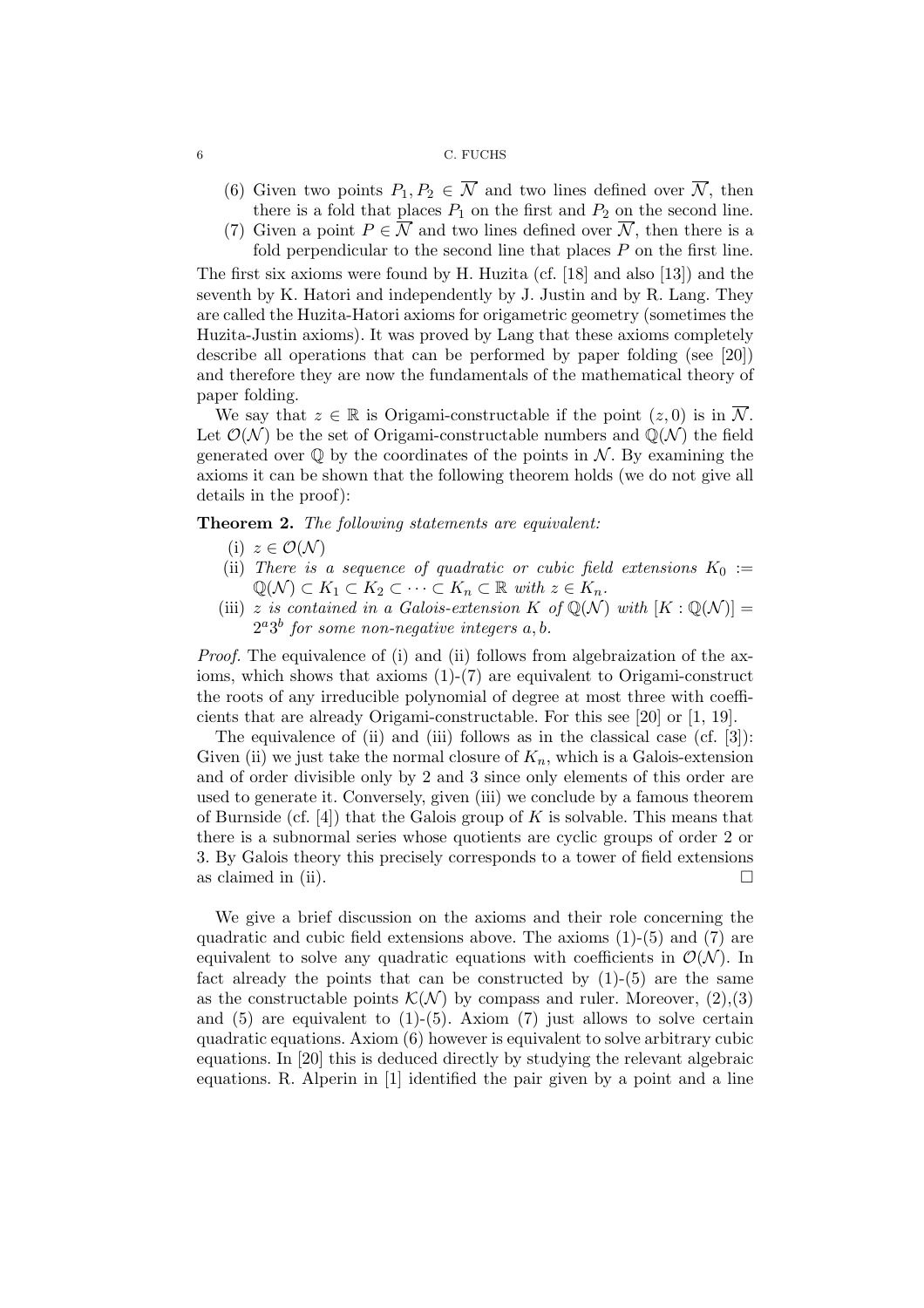- (6) Given two points  $P_1, P_2 \in \overline{\mathcal{N}}$  and two lines defined over  $\overline{\mathcal{N}}$ , then there is a fold that places  $P_1$  on the first and  $P_2$  on the second line.
- (7) Given a point  $P \in \overline{\mathcal{N}}$  and two lines defined over  $\overline{\mathcal{N}}$ , then there is a fold perpendicular to the second line that places  $P$  on the first line.

The first six axioms were found by H. Huzita (cf. [18] and also [13]) and the seventh by K. Hatori and independently by J. Justin and by R. Lang. They are called the Huzita-Hatori axioms for origametric geometry (sometimes the Huzita-Justin axioms). It was proved by Lang that these axioms completely describe all operations that can be performed by paper folding (see [20]) and therefore they are now the fundamentals of the mathematical theory of paper folding.

We say that  $z \in \mathbb{R}$  is Origami-constructable if the point  $(z, 0)$  is in  $\overline{\mathcal{N}}$ . Let  $\mathcal{O}(\mathcal{N})$  be the set of Origami-constructable numbers and  $\mathbb{O}(\mathcal{N})$  the field generated over  $\mathbb{O}$  by the coordinates of the points in N. By examining the axioms it can be shown that the following theorem holds (we do not give all details in the proof):

Theorem 2. The following statements are equivalent:

- (i)  $z \in \mathcal{O}(\mathcal{N})$
- (ii) There is a sequence of quadratic or cubic field extensions  $K_0 :=$  $\mathbb{Q}(\mathcal{N}) \subset K_1 \subset K_2 \subset \cdots \subset K_n \subset \mathbb{R}$  with  $z \in K_n$ .
- (iii) z is contained in a Galois-extension K of  $\mathbb{Q}(\mathcal{N})$  with  $[K:\mathbb{Q}(\mathcal{N})]=$  $2^a3^b$  for some non-negative integers  $a, b$ .

Proof. The equivalence of (i) and (ii) follows from algebraization of the axioms, which shows that axioms (1)-(7) are equivalent to Origami-construct the roots of any irreducible polynomial of degree at most three with coefficients that are already Origami-constructable. For this see [20] or [1, 19].

The equivalence of (ii) and (iii) follows as in the classical case (cf. [3]): Given (ii) we just take the normal closure of  $K_n$ , which is a Galois-extension and of order divisible only by 2 and 3 since only elements of this order are used to generate it. Conversely, given (iii) we conclude by a famous theorem of Burnside (cf. [4]) that the Galois group of K is solvable. This means that there is a subnormal series whose quotients are cyclic groups of order 2 or 3. By Galois theory this precisely corresponds to a tower of field extensions as claimed in (ii).  $\Box$ 

We give a brief discussion on the axioms and their role concerning the quadratic and cubic field extensions above. The axioms  $(1)-(5)$  and  $(7)$  are equivalent to solve any quadratic equations with coefficients in  $\mathcal{O}(\mathcal{N})$ . In fact already the points that can be constructed by  $(1)-(5)$  are the same as the constructable points  $\mathcal{K}(\mathcal{N})$  by compass and ruler. Moreover, (2),(3) and  $(5)$  are equivalent to  $(1)-(5)$ . Axiom  $(7)$  just allows to solve certain quadratic equations. Axiom (6) however is equivalent to solve arbitrary cubic equations. In [20] this is deduced directly by studying the relevant algebraic equations. R. Alperin in [1] identified the pair given by a point and a line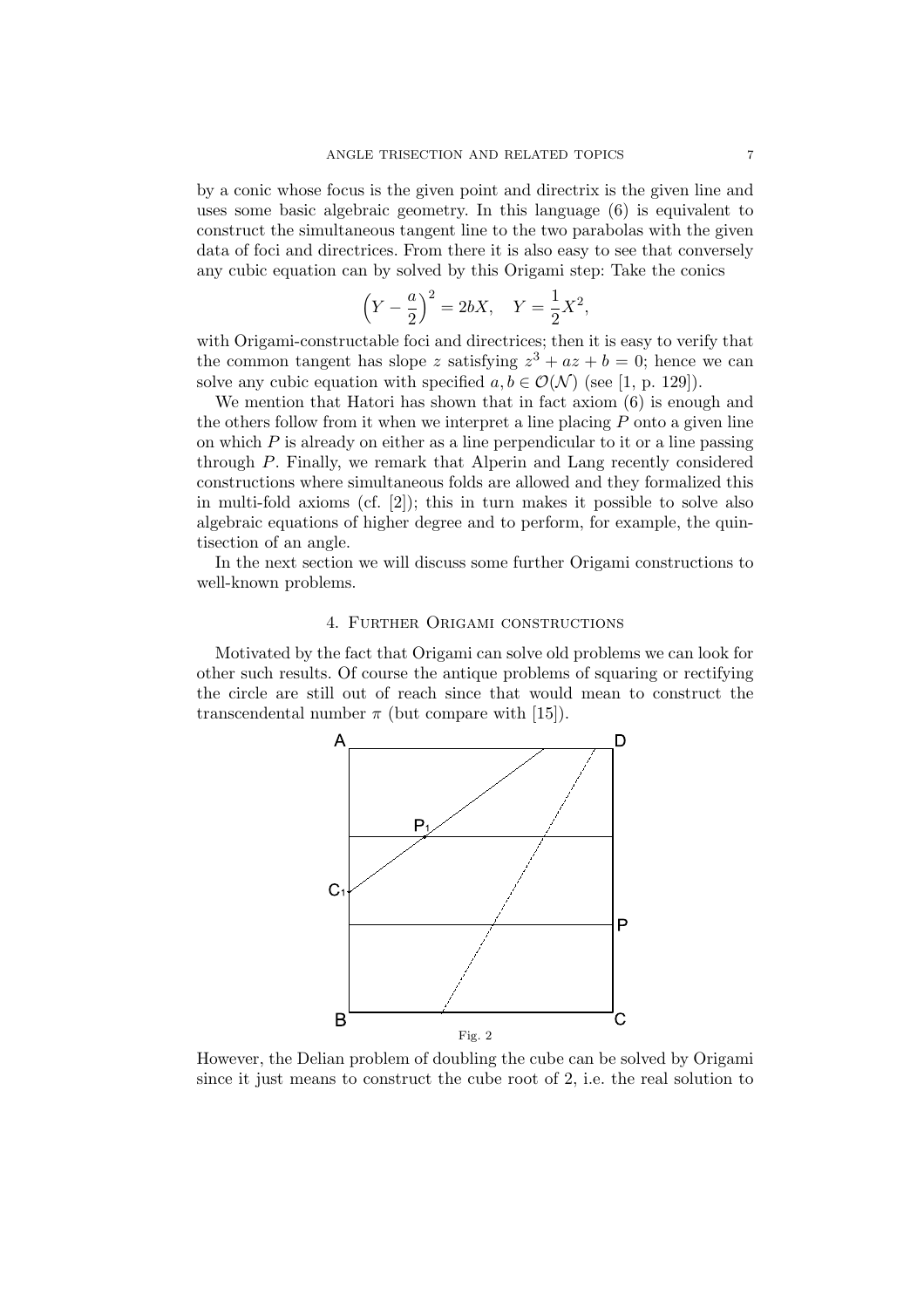by a conic whose focus is the given point and directrix is the given line and uses some basic algebraic geometry. In this language (6) is equivalent to construct the simultaneous tangent line to the two parabolas with the given data of foci and directrices. From there it is also easy to see that conversely any cubic equation can by solved by this Origami step: Take the conics

$$
\left(Y - \frac{a}{2}\right)^2 = 2bX, \quad Y = \frac{1}{2}X^2,
$$

with Origami-constructable foci and directrices; then it is easy to verify that the common tangent has slope z satisfying  $z^3 + az + b = 0$ ; hence we can solve any cubic equation with specified  $a, b \in \mathcal{O}(\mathcal{N})$  (see [1, p. 129]).

We mention that Hatori has shown that in fact axiom (6) is enough and the others follow from it when we interpret a line placing  $P$  onto a given line on which  $P$  is already on either as a line perpendicular to it or a line passing through P. Finally, we remark that Alperin and Lang recently considered constructions where simultaneous folds are allowed and they formalized this in multi-fold axioms (cf. [2]); this in turn makes it possible to solve also algebraic equations of higher degree and to perform, for example, the quintisection of an angle.

In the next section we will discuss some further Origami constructions to well-known problems.

### 4. Further Origami constructions

Motivated by the fact that Origami can solve old problems we can look for other such results. Of course the antique problems of squaring or rectifying the circle are still out of reach since that would mean to construct the transcendental number  $\pi$  (but compare with [15]).



However, the Delian problem of doubling the cube can be solved by Origami since it just means to construct the cube root of 2, i.e. the real solution to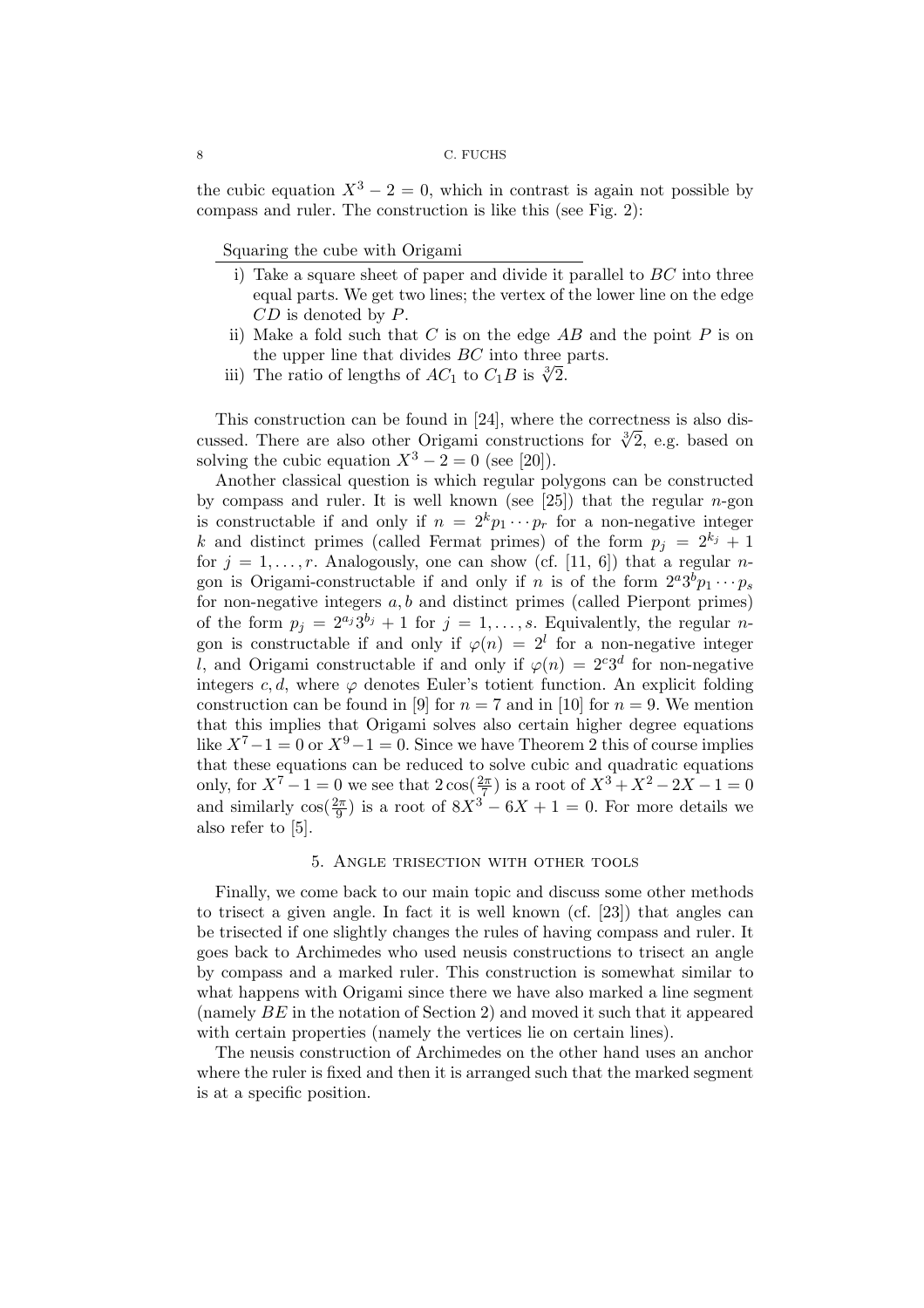the cubic equation  $X^3 - 2 = 0$ , which in contrast is again not possible by compass and ruler. The construction is like this (see Fig. 2):

Squaring the cube with Origami

- i) Take a square sheet of paper and divide it parallel to  $BC$  into three equal parts. We get two lines; the vertex of the lower line on the edge  $CD$  is denoted by  $P$ .
- ii) Make a fold such that C is on the edge  $AB$  and the point P is on the upper line that divides BC into three parts.
- iii) The ratio of lengths of  $AC_1$  to  $C_1B$  is  $\sqrt[3]{2}$ .

This construction can be found in [24], where the correctness is also discussed. There are also other Origami constructions for  $\sqrt[3]{2}$ , e.g. based on solving the cubic equation  $X^3 - 2 = 0$  (see [20]).

Another classical question is which regular polygons can be constructed by compass and ruler. It is well known (see  $[25]$ ) that the regular *n*-gon is constructable if and only if  $n = 2^k p_1 \cdots p_r$  for a non-negative integer k and distinct primes (called Fermat primes) of the form  $p_j = 2^{k_j} + 1$ for  $j = 1, \ldots, r$ . Analogously, one can show (cf. [11, 6]) that a regular *n*gon is Origami-constructable if and only if n is of the form  $2^a 3^b p_1 \cdots p_s$ for non-negative integers  $a, b$  and distinct primes (called Pierpont primes) of the form  $p_j = 2^{a_j}3^{b_j} + 1$  for  $j = 1, \ldots, s$ . Equivalently, the regular *n*gon is constructable if and only if  $\varphi(n) = 2^l$  for a non-negative integer l, and Origami constructable if and only if  $\varphi(n) = 2^{c}3^{d}$  for non-negative integers c, d, where  $\varphi$  denotes Euler's totient function. An explicit folding construction can be found in [9] for  $n = 7$  and in [10] for  $n = 9$ . We mention that this implies that Origami solves also certain higher degree equations like  $X^7-1=0$  or  $X^9-1=0$ . Since we have Theorem 2 this of course implies that these equations can be reduced to solve cubic and quadratic equations only, for  $X^7 - 1 = 0$  we see that  $2 \cos(\frac{2\pi}{7})$  is a root of  $X^3 + X^2 - 2X - 1 = 0$ and similarly  $cos(\frac{2\pi}{9})$  is a root of  $8X^3 - 6X + 1 = 0$ . For more details we also refer to [5].

### 5. Angle trisection with other tools

Finally, we come back to our main topic and discuss some other methods to trisect a given angle. In fact it is well known (cf. [23]) that angles can be trisected if one slightly changes the rules of having compass and ruler. It goes back to Archimedes who used neusis constructions to trisect an angle by compass and a marked ruler. This construction is somewhat similar to what happens with Origami since there we have also marked a line segment (namely BE in the notation of Section 2) and moved it such that it appeared with certain properties (namely the vertices lie on certain lines).

The neusis construction of Archimedes on the other hand uses an anchor where the ruler is fixed and then it is arranged such that the marked segment is at a specific position.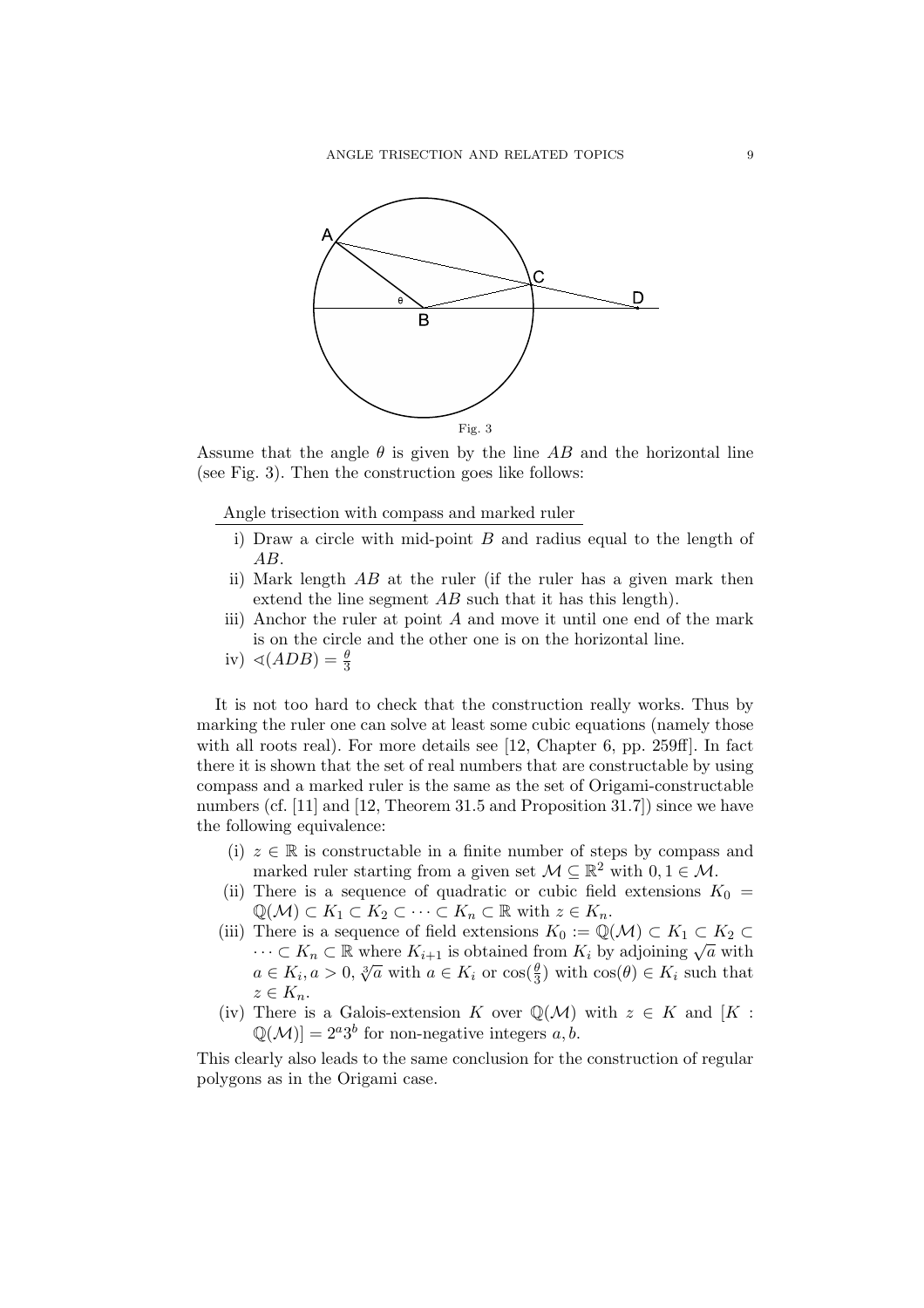

Assume that the angle  $\theta$  is given by the line AB and the horizontal line (see Fig. 3). Then the construction goes like follows:

Angle trisection with compass and marked ruler

- i) Draw a circle with mid-point  $B$  and radius equal to the length of AB.
- ii) Mark length  $AB$  at the ruler (if the ruler has a given mark then extend the line segment AB such that it has this length).
- iii) Anchor the ruler at point  $A$  and move it until one end of the mark is on the circle and the other one is on the horizontal line.
- iv)  $\triangleleft(ADB) = \frac{\theta}{3}$

It is not too hard to check that the construction really works. Thus by marking the ruler one can solve at least some cubic equations (namely those with all roots real). For more details see [12, Chapter 6, pp. 259ff]. In fact there it is shown that the set of real numbers that are constructable by using compass and a marked ruler is the same as the set of Origami-constructable numbers (cf. [11] and [12, Theorem 31.5 and Proposition 31.7]) since we have the following equivalence:

- (i)  $z \in \mathbb{R}$  is constructable in a finite number of steps by compass and marked ruler starting from a given set  $\mathcal{M} \subseteq \mathbb{R}^2$  with  $0, 1 \in \mathcal{M}$ .
- (ii) There is a sequence of quadratic or cubic field extensions  $K_0 =$  $\mathbb{Q}(\mathcal{M}) \subset K_1 \subset K_2 \subset \cdots \subset K_n \subset \mathbb{R}$  with  $z \in K_n$ .
- (iii) There is a sequence of field extensions  $K_0 := \mathbb{Q}(\mathcal{M}) \subset K_1 \subset K_2 \subset$  $\cdots \subset K_n \subset \mathbb{R}$  where  $K_{i+1}$  is obtained from  $K_i$  by adjoining  $\sqrt{a}$  with  $a \in K_i$ ,  $a > 0$ ,  $\sqrt[3]{a}$  with  $a \in K_i$  or  $\cos(\frac{\theta}{3})$  with  $\cos(\theta) \in K_i$  such that  $z \in K_n$ .
- (iv) There is a Galois-extension K over  $\mathbb{Q}(\mathcal{M})$  with  $z \in K$  and  $[K :$  $\mathbb{Q}(\mathcal{M})$ ] =  $2^a 3^b$  for non-negative integers a, b.

This clearly also leads to the same conclusion for the construction of regular polygons as in the Origami case.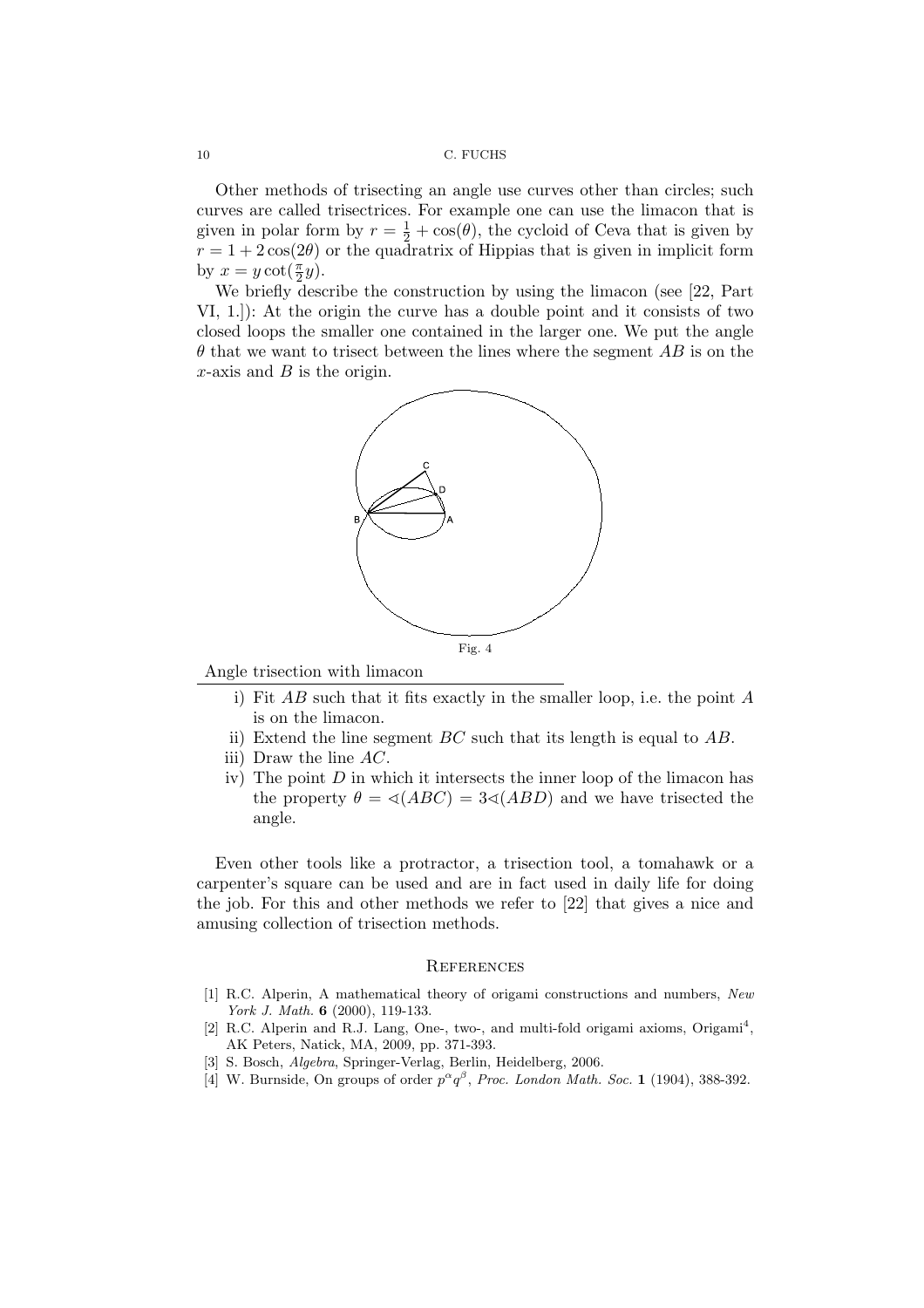Other methods of trisecting an angle use curves other than circles; such curves are called trisectrices. For example one can use the limacon that is given in polar form by  $r = \frac{1}{2} + \cos(\theta)$ , the cycloid of Ceva that is given by  $r = 1 + 2\cos(2\theta)$  or the quadratrix of Hippias that is given in implicit form by  $x = y \cot(\frac{\pi}{2}y)$ .

We briefly describe the construction by using the limacon (see [22, Part VI, 1.]): At the origin the curve has a double point and it consists of two closed loops the smaller one contained in the larger one. We put the angle  $\theta$  that we want to trisect between the lines where the segment AB is on the  $x$ -axis and  $B$  is the origin.



Angle trisection with limacon

- i) Fit AB such that it fits exactly in the smaller loop, i.e. the point A is on the limacon.
- ii) Extend the line segment  $BC$  such that its length is equal to  $AB$ .
- iii) Draw the line AC.
- iv) The point  $D$  in which it intersects the inner loop of the limacon has the property  $\theta = \langle (ABC) = 3\langle (ABD) \rangle$  and we have trisected the angle.

Even other tools like a protractor, a trisection tool, a tomahawk or a carpenter's square can be used and are in fact used in daily life for doing the job. For this and other methods we refer to [22] that gives a nice and amusing collection of trisection methods.

#### **REFERENCES**

- [1] R.C. Alperin, A mathematical theory of origami constructions and numbers, *New York J. Math.* 6 (2000), 119-133.
- [2] R.C. Alperin and R.J. Lang, One-, two-, and multi-fold origami axioms, Origami<sup>4</sup>, AK Peters, Natick, MA, 2009, pp. 371-393.
- [3] S. Bosch, *Algebra*, Springer-Verlag, Berlin, Heidelberg, 2006.
- [4] W. Burnside, On groups of order  $p^{\alpha}q^{\beta}$ , *Proc. London Math. Soc.* 1 (1904), 388-392.